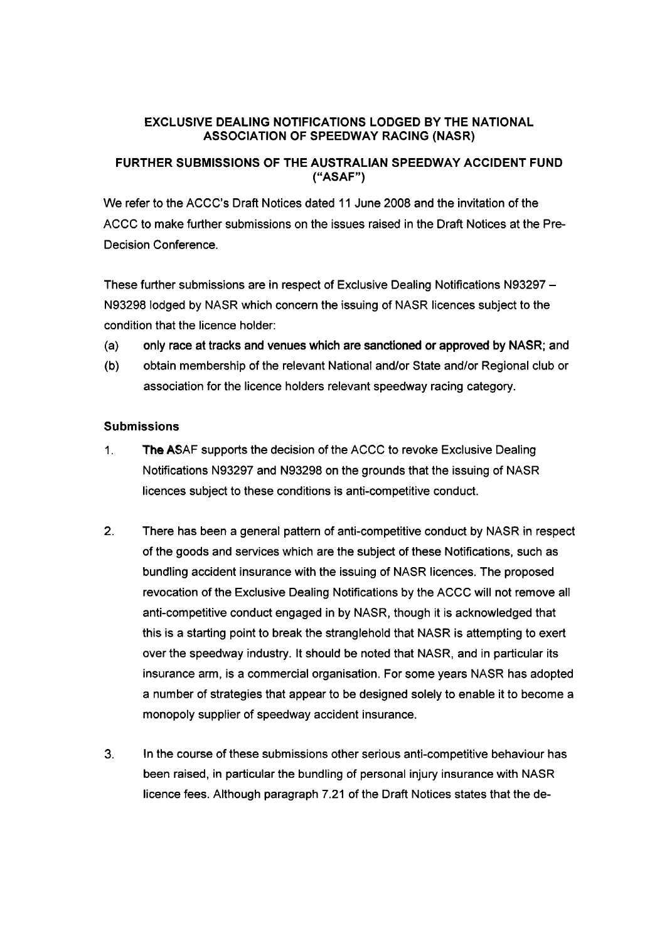## **EXCLUSIVE DEALING NOTIFICATIONS LODGED BY THE NATIONAL ASSOCIATION OF SPEEDWAY RACING (NASR)**

## **FURTHER SUBMISSIONS OF THE AUSTRALIAN SPEEDWAY ACCIDENT FUND ("ASAF")**

We refer to the ACCC's Draft Notices dated 11 June 2008 and the invitation of the ACCC to make further submissions on the issues raised in the Draft Notices at the Pre-Decision conference.

These further submissions are in respect of Exclusive Dealing Notifications N93297 - N93298 lodged by NASR which concern the issuing of NASR licences subject to the condition that the licence holder:

- (a) only race at tracks and venues which are sanctioned or approved by NASR; and
- (b) obtain membership of the relevant National and/or State and/or Regional club or association for the licence holders relevant speedway racing category.

## **Submissions**

- 1. The ASAF supports the decision of the ACCC to revoke Exclusive Dealing Notifications N93297 and N93298 on the grounds that the issuing of NASR licences subject to these conditions is anti-competitive conduct.
- 2. There has been a general pattern of anti-competitive conduct by NASR in respect of the goods and services which are the subject of these Notifications, such as bundling accident insurance with the issuing of NASR licences. The proposed revocation of the Exclusive Dealing Notifications by the ACCC will not remove all anti-competitive conduct engaged in by NASR, though it is acknowledged that this is a starting point to break the stranglehold that NASR is attempting to exert over the speedway industry. It should be noted that NASR, and in particular its insurance arm, is a commercial organisation. For some years NASR has adopted a number of strategies that appear to be designed solely to enable it to become a monopoly supplier of speedway accident insurance.
- 3. In the course of these submissions other serious anti-competitive behaviour has been raised, in particular the bundling of personal injury insurance with NASR licence fees. Although paragraph 7.21 of the Draft Notices states that the de-